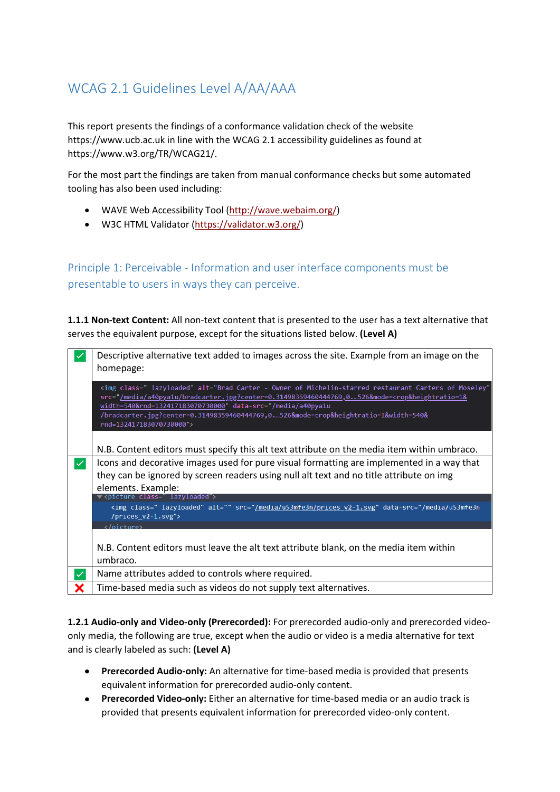# WCAG 2.1 Guidelines Level A/AA/AAA

This report presents the findings of a conformance validation check of the website https://www.ucb.ac.uk in line with the WCAG 2.1 accessibility guidelines as found at https://www.w3.org/TR/WCAG21/.

For the most part the findings are taken from manual conformance checks but some automated tooling has also been used including:

- WAVE Web Accessibility Tool [\(http://wave.webaim.org/\)](http://wave.webaim.org/)
- W3C HTML Validator [\(https://validator.w3.org/\)](https://validator.w3.org/)

Principle 1: Perceivable - Information and user interface components must be presentable to users in ways they can perceive.

**1.1.1 Non-text Content:** All non-text content that is presented to the user has a text alternative that serves the equivalent purpose, except for the situations listed below. **(Level A)**

|   | Descriptive alternative text added to images across the site. Example from an image on the<br>homepage:                                                                                                                                                                                                                                                                                    |
|---|--------------------------------------------------------------------------------------------------------------------------------------------------------------------------------------------------------------------------------------------------------------------------------------------------------------------------------------------------------------------------------------------|
|   | <img <br="" alt="Brad Carter - Owner of Michelin-starred restaurant Carters of Moseley" class="lazyloaded"/> src="/media/a40pya1u/bradcarter.jpg?center=0.31498359460444769,0526&mode=crop&heightratio=1&<br>width=540&rnd=132417183070730000" data-src="/media/a40pya1u<br>/bradcarter.jpg?center=0.31498359460444769,0526&mode=crop&heightratio=1&width=540&<br>rnd=132417183070730000"> |
|   | N.B. Content editors must specify this alt text attribute on the media item within umbraco.                                                                                                                                                                                                                                                                                                |
| ◆ | Icons and decorative images used for pure visual formatting are implemented in a way that<br>they can be ignored by screen readers using null alt text and no title attribute on img<br>elements. Example:                                                                                                                                                                                 |
|   | <picture class="lazyloaded"><br/><img <="" alt="" class="lazyloaded" data-src="/media/u53mfe3n&lt;br&gt;/prices &lt;math&gt;v2-1.svg" math="" src="/media/u53mfe3n/prices v2-1.svg"/><br/><math>\langle</math>/picture&gt;</picture>                                                                                                                                                       |
|   | N.B. Content editors must leave the alt text attribute blank, on the media item within<br>umbraco.                                                                                                                                                                                                                                                                                         |
|   | Name attributes added to controls where required.                                                                                                                                                                                                                                                                                                                                          |
|   | Time-based media such as videos do not supply text alternatives.                                                                                                                                                                                                                                                                                                                           |

**1.2.1 Audio-only and Video-only (Prerecorded):** For prerecorded audio-only and prerecorded videoonly media, the following are true, except when the audio or video is a media alternative for text and is clearly labeled as such: **(Level A)**

- **Prerecorded Audio-only:** An alternative for time-based media is provided that presents equivalent information for prerecorded audio-only content.
- **Prerecorded Video-only:** Either an alternative for time-based media or an audio track is provided that presents equivalent information for prerecorded video-only content.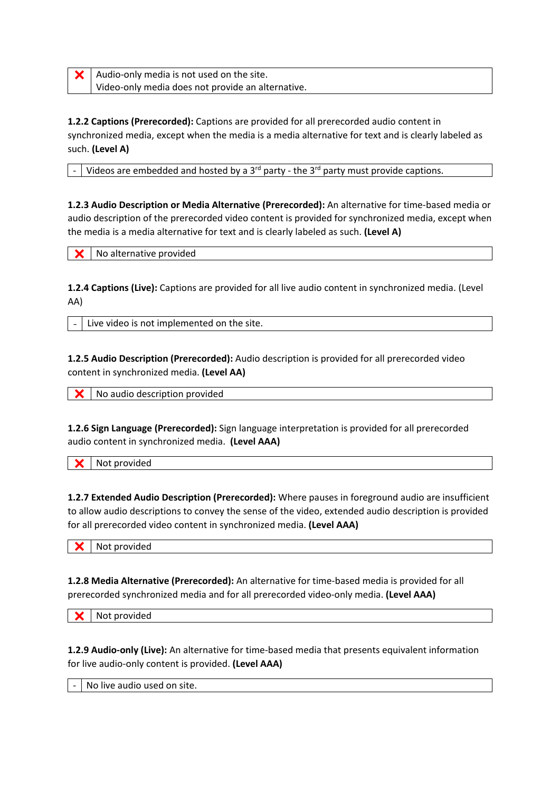$\mathsf{\times}$  | Audio-only media is not used on the site. Video-only media does not provide an alternative.

**1.2.2 Captions (Prerecorded):** Captions are provided for all prerecorded audio content in synchronized media, except when the media is a media alternative for text and is clearly labeled as such. **(Level A)**

Videos are embedded and hosted by a  $3^{rd}$  party - the  $3^{rd}$  party must provide captions.

**1.2.3 Audio Description or Media Alternative (Prerecorded):** An alternative for time-based media or audio description of the prerecorded video content is provided for synchronized media, except when the media is a media alternative for text and is clearly labeled as such. **(Level A)**

No alternative provided

**1.2.4 Captions (Live):** Captions are provided for all live audio content in synchronized media. (Level AA)

Live video is not implemented on the site.

**1.2.5 Audio Description (Prerecorded):** Audio description is provided for all prerecorded video content in synchronized media. **(Level AA)**

No audio description provided

**1.2.6 Sign Language (Prerecorded):** Sign language interpretation is provided for all prerecorded audio content in synchronized media. **(Level AAA)**

Not provided

**1.2.7 Extended Audio Description (Prerecorded):** Where pauses in foreground audio are insufficient to allow audio descriptions to convey the sense of the video, extended audio description is provided for all prerecorded video content in synchronized media. **(Level AAA)**

Not provided

**1.2.8 Media Alternative (Prerecorded):** An alternative for time-based media is provided for all prerecorded synchronized media and for all prerecorded video-only media. **(Level AAA)**

Not provided

**1.2.9 Audio-only (Live):** An alternative for time-based media that presents equivalent information for live audio-only content is provided. **(Level AAA)**

No live audio used on site.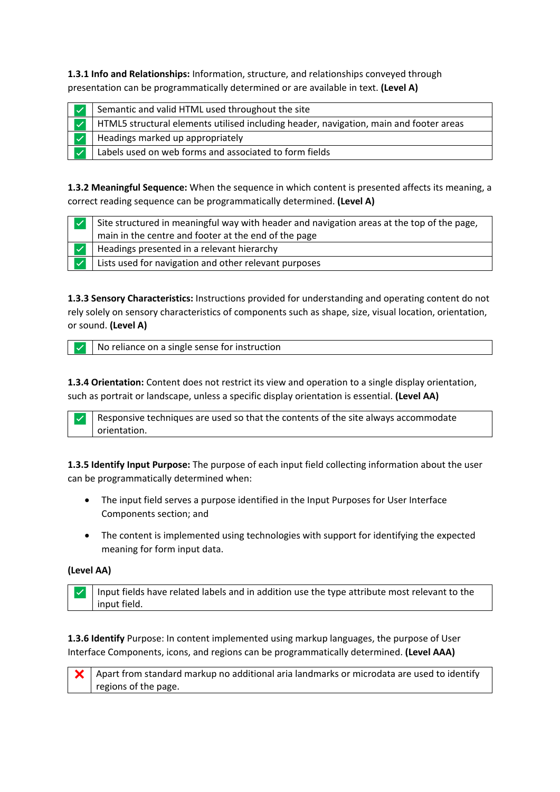**1.3.1 Info and Relationships:** Information, structure, and relationships conveyed through presentation can be programmatically determined or are available in text. **(Level A)**

| Semantic and valid HTML used throughout the site                                       |
|----------------------------------------------------------------------------------------|
| HTML5 structural elements utilised including header, navigation, main and footer areas |
| Headings marked up appropriately                                                       |
| Labels used on web forms and associated to form fields                                 |

**1.3.2 Meaningful Sequence:** When the sequence in which content is presented affects its meaning, a correct reading sequence can be programmatically determined. **(Level A)**

| Site structured in meaningful way with header and navigation areas at the top of the page,<br>main in the centre and footer at the end of the page |
|----------------------------------------------------------------------------------------------------------------------------------------------------|
| Headings presented in a relevant hierarchy                                                                                                         |
| Lists used for navigation and other relevant purposes                                                                                              |

**1.3.3 Sensory Characteristics:** Instructions provided for understanding and operating content do not rely solely on sensory characteristics of components such as shape, size, visual location, orientation, or sound. **(Level A)**

✅ No reliance on a single sense for instruction

**1.3.4 Orientation:** Content does not restrict its view and operation to a single display orientation, such as portrait or landscape, unless a specific display orientation is essential. **(Level AA)**

 $\vee$  Responsive techniques are used so that the contents of the site always accommodate orientation.

**1.3.5 Identify Input Purpose:** The purpose of each input field collecting information about the user can be programmatically determined when:

- The input field serves a purpose identified in the Input Purposes for User Interface Components section; and
- The content is implemented using technologies with support for identifying the expected meaning for form input data.

### **(Level AA)**

 $\vee$  Input fields have related labels and in addition use the type attribute most relevant to the input field.

**1.3.6 Identify** Purpose: In content implemented using markup languages, the purpose of User Interface Components, icons, and regions can be programmatically determined. **(Level AAA)**

 $\vert \mathbf{x} \vert$  Apart from standard markup no additional aria landmarks or microdata are used to identify regions of the page.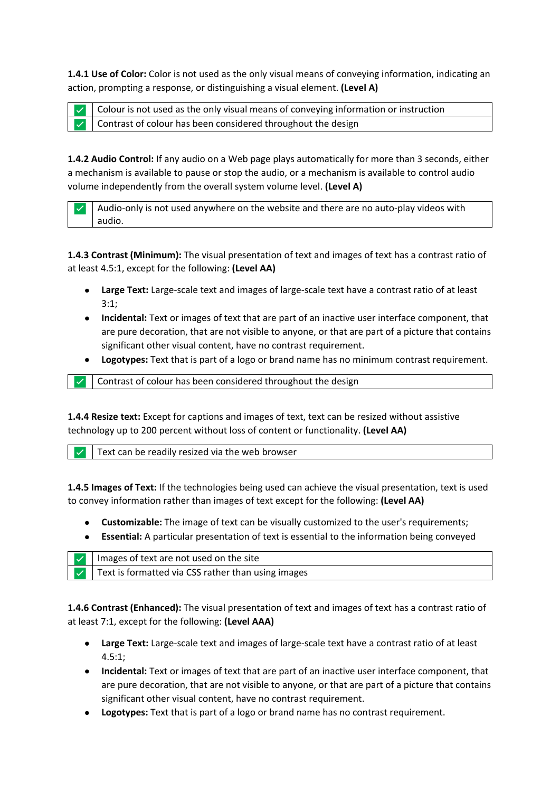**1.4.1 Use of Color:** Color is not used as the only visual means of conveying information, indicating an action, prompting a response, or distinguishing a visual element. **(Level A)**

✅ Colour is not used as the only visual means of conveying information or instruction Contrast of colour has been considered throughout the design

**1.4.2 Audio Control:** If any audio on a Web page plays automatically for more than 3 seconds, either a mechanism is available to pause or stop the audio, or a mechanism is available to control audio volume independently from the overall system volume level. **(Level A)**

 $\vee$  | Audio-only is not used anywhere on the website and there are no auto-play videos with audio.

**1.4.3 Contrast (Minimum):** The visual presentation of text and images of text has a contrast ratio of at least 4.5:1, except for the following: **(Level AA)**

- **Large Text:** Large-scale text and images of large-scale text have a contrast ratio of at least 3:1;
- **Incidental:** Text or images of text that are part of an inactive user interface component, that are pure decoration, that are not visible to anyone, or that are part of a picture that contains significant other visual content, have no contrast requirement.
- **Logotypes:** Text that is part of a logo or brand name has no minimum contrast requirement.

Contrast of colour has been considered throughout the design

**1.4.4 Resize text:** Except for captions and images of text, text can be resized without assistive technology up to 200 percent without loss of content or functionality. **(Level AA)**

Text can be readily resized via the web browser

**1.4.5 Images of Text:** If the technologies being used can achieve the visual presentation, text is used to convey information rather than images of text except for the following: **(Level AA)**

- **Customizable:** The image of text can be visually customized to the user's requirements;
- **Essential:** A particular presentation of text is essential to the information being conveyed

| $\vee$   Images of text are not used on the site          |
|-----------------------------------------------------------|
| $\vee$ Text is formatted via CSS rather than using images |

**1.4.6 Contrast (Enhanced):** The visual presentation of text and images of text has a contrast ratio of at least 7:1, except for the following: **(Level AAA)**

- **Large Text:** Large-scale text and images of large-scale text have a contrast ratio of at least 4.5:1;
- **Incidental:** Text or images of text that are part of an inactive user interface component, that are pure decoration, that are not visible to anyone, or that are part of a picture that contains significant other visual content, have no contrast requirement.
- **Logotypes:** Text that is part of a logo or brand name has no contrast requirement.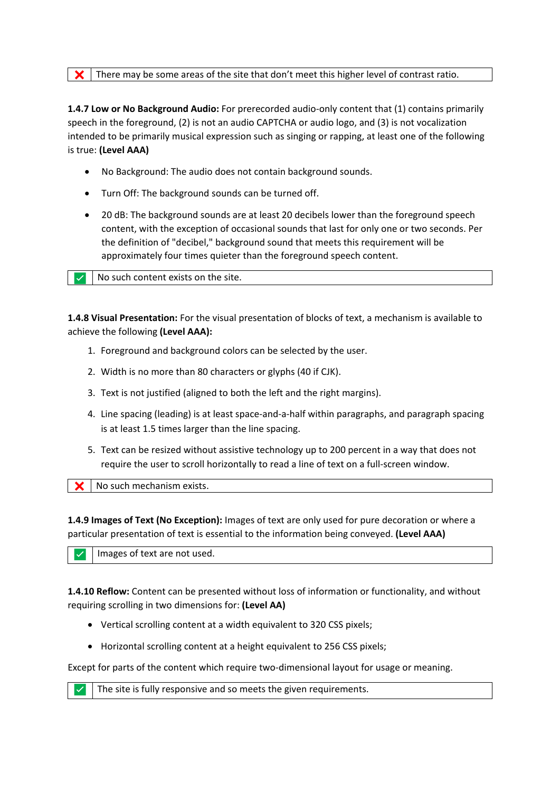$\mathsf{\times}$  There may be some areas of the site that don't meet this higher level of contrast ratio.

**1.4.7 Low or No Background Audio:** For prerecorded audio-only content that (1) contains primarily speech in the foreground, (2) is not an audio CAPTCHA or audio logo, and (3) is not vocalization intended to be primarily musical expression such as singing or rapping, at least one of the following is true: **(Level AAA)**

- No Background: The audio does not contain background sounds.
- Turn Off: The background sounds can be turned off.
- 20 dB: The background sounds are at least 20 decibels lower than the foreground speech content, with the exception of occasional sounds that last for only one or two seconds. Per the definition of "decibel," background sound that meets this requirement will be approximately four times quieter than the foreground speech content.

✅ No such content exists on the site.

**1.4.8 Visual Presentation:** For the visual presentation of blocks of text, a mechanism is available to achieve the following **(Level AAA):** 

- 1. Foreground and background colors can be selected by the user.
- 2. Width is no more than 80 characters or glyphs (40 if CJK).
- 3. Text is not justified (aligned to both the left and the right margins).
- 4. Line spacing (leading) is at least space-and-a-half within paragraphs, and paragraph spacing is at least 1.5 times larger than the line spacing.
- 5. Text can be resized without assistive technology up to 200 percent in a way that does not require the user to scroll horizontally to read a line of text on a full-screen window.

**X** No such mechanism exists.

**1.4.9 Images of Text (No Exception):** Images of text are only used for pure decoration or where a particular presentation of text is essential to the information being conveyed. **(Level AAA)**

Images of text are not used.

**1.4.10 Reflow:** Content can be presented without loss of information or functionality, and without requiring scrolling in two dimensions for: **(Level AA)** 

- Vertical scrolling content at a width equivalent to 320 CSS pixels;
- Horizontal scrolling content at a height equivalent to 256 CSS pixels;

Except for parts of the content which require two-dimensional layout for usage or meaning.

 $\vee$  The site is fully responsive and so meets the given requirements.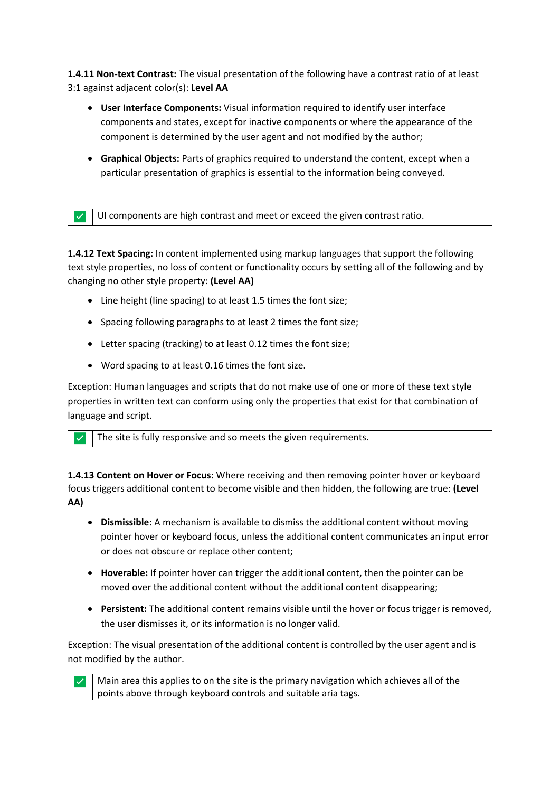**1.4.11 Non-text Contrast:** The visual presentation of the following have a contrast ratio of at least 3:1 against adjacent color(s): **Level AA** 

- **User Interface Components:** Visual information required to identify user interface components and states, except for inactive components or where the appearance of the component is determined by the user agent and not modified by the author;
- **Graphical Objects:** Parts of graphics required to understand the content, except when a particular presentation of graphics is essential to the information being conveyed.

✅ UI components are high contrast and meet or exceed the given contrast ratio.

**1.4.12 Text Spacing:** In content implemented using markup languages that support the following text style properties, no loss of content or functionality occurs by setting all of the following and by changing no other style property: **(Level AA)**

- Line height (line spacing) to at least 1.5 times the font size;
- Spacing following paragraphs to at least 2 times the font size;
- Letter spacing (tracking) to at least 0.12 times the font size;
- Word spacing to at least 0.16 times the font size.

Exception: Human languages and scripts that do not make use of one or more of these text style properties in written text can conform using only the properties that exist for that combination of language and script.

The site is fully responsive and so meets the given requirements.

**1.4.13 Content on Hover or Focus:** Where receiving and then removing pointer hover or keyboard focus triggers additional content to become visible and then hidden, the following are true: **(Level AA)**

- **Dismissible:** A mechanism is available to dismiss the additional content without moving pointer hover or keyboard focus, unless the additional content communicates an input error or does not obscure or replace other content;
- **Hoverable:** If pointer hover can trigger the additional content, then the pointer can be moved over the additional content without the additional content disappearing;
- **Persistent:** The additional content remains visible until the hover or focus trigger is removed, the user dismisses it, or its information is no longer valid.

Exception: The visual presentation of the additional content is controlled by the user agent and is not modified by the author.

 $\vee$  Main area this applies to on the site is the primary navigation which achieves all of the points above through keyboard controls and suitable aria tags.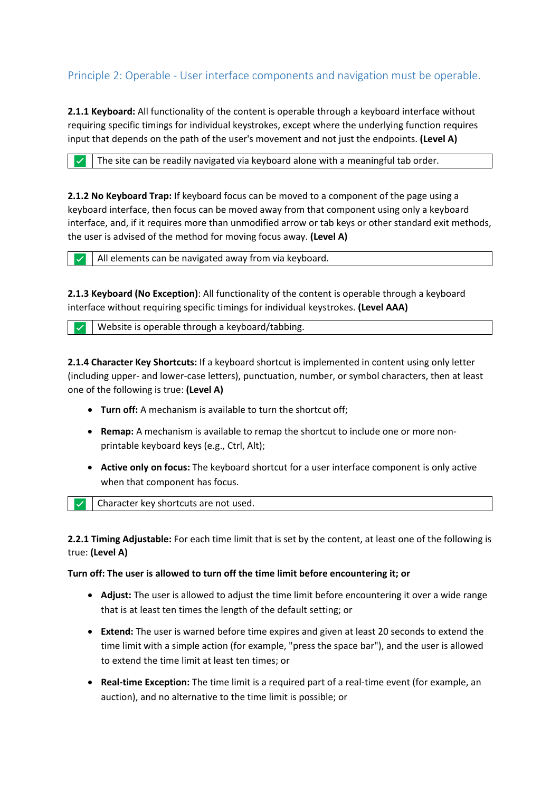## Principle 2: Operable - User interface components and navigation must be operable.

**2.1.1 Keyboard:** All functionality of the content is operable through a keyboard interface without requiring specific timings for individual keystrokes, except where the underlying function requires input that depends on the path of the user's movement and not just the endpoints. **(Level A)**

 $\triangledown$  The site can be readily navigated via keyboard alone with a meaningful tab order.

**2.1.2 No Keyboard Trap:** If keyboard focus can be moved to a component of the page using a keyboard interface, then focus can be moved away from that component using only a keyboard interface, and, if it requires more than unmodified arrow or tab keys or other standard exit methods, the user is advised of the method for moving focus away. **(Level A)**

All elements can be navigated away from via keyboard.

**2.1.3 Keyboard (No Exception)**: All functionality of the content is operable through a keyboard interface without requiring specific timings for individual keystrokes. **(Level AAA)**

Website is operable through a keyboard/tabbing.

**2.1.4 Character Key Shortcuts:** If a keyboard shortcut is implemented in content using only letter (including upper- and lower-case letters), punctuation, number, or symbol characters, then at least one of the following is true: **(Level A)**

- **Turn off:** A mechanism is available to turn the shortcut off;
- **Remap:** A mechanism is available to remap the shortcut to include one or more nonprintable keyboard keys (e.g., Ctrl, Alt);
- **Active only on focus:** The keyboard shortcut for a user interface component is only active when that component has focus.

✅ Character key shortcuts are not used.

**2.2.1 Timing Adjustable:** For each time limit that is set by the content, at least one of the following is true: **(Level A)**

#### **Turn off: The user is allowed to turn off the time limit before encountering it; or**

- **Adjust:** The user is allowed to adjust the time limit before encountering it over a wide range that is at least ten times the length of the default setting; or
- **Extend:** The user is warned before time expires and given at least 20 seconds to extend the time limit with a simple action (for example, "press the space bar"), and the user is allowed to extend the time limit at least ten times; or
- **Real-time Exception:** The time limit is a required part of a real-time event (for example, an auction), and no alternative to the time limit is possible; or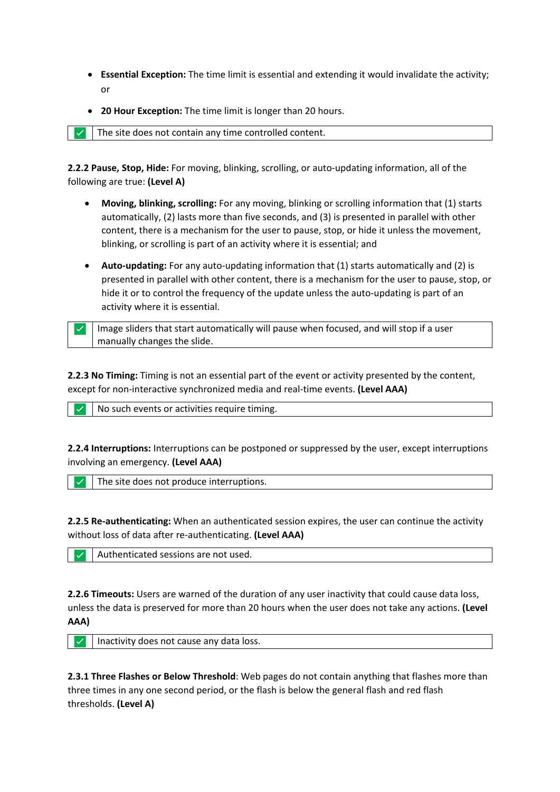- **Essential Exception:** The time limit is essential and extending it would invalidate the activity; or
- **20 Hour Exception:** The time limit is longer than 20 hours.

 $\triangledown$  The site does not contain any time controlled content.

**2.2.2 Pause, Stop, Hide:** For moving, blinking, scrolling, or auto-updating information, all of the following are true: **(Level A)**

- **Moving, blinking, scrolling:** For any moving, blinking or scrolling information that (1) starts automatically, (2) lasts more than five seconds, and (3) is presented in parallel with other content, there is a mechanism for the user to pause, stop, or hide it unless the movement, blinking, or scrolling is part of an activity where it is essential; and
- **Auto-updating:** For any auto-updating information that (1) starts automatically and (2) is presented in parallel with other content, there is a mechanism for the user to pause, stop, or hide it or to control the frequency of the update unless the auto-updating is part of an activity where it is essential.

 $\checkmark$  Image sliders that start automatically will pause when focused, and will stop if a user manually changes the slide.

**2.2.3 No Timing:** Timing is not an essential part of the event or activity presented by the content, except for non-interactive synchronized media and real-time events. **(Level AAA)**

✅ No such events or activities require timing.

**2.2.4 Interruptions:** Interruptions can be postponed or suppressed by the user, except interruptions involving an emergency. **(Level AAA)**

The site does not produce interruptions.

**2.2.5 Re-authenticating:** When an authenticated session expires, the user can continue the activity without loss of data after re-authenticating. **(Level AAA)**

✅ Authenticated sessions are not used.

**2.2.6 Timeouts:** Users are warned of the duration of any user inactivity that could cause data loss, unless the data is preserved for more than 20 hours when the user does not take any actions. **(Level AAA)**

 $\vert \cdot \vert$  Inactivity does not cause any data loss.

**2.3.1 Three Flashes or Below Threshold**: Web pages do not contain anything that flashes more than three times in any one second period, or the flash is below the general flash and red flash thresholds. **(Level A)**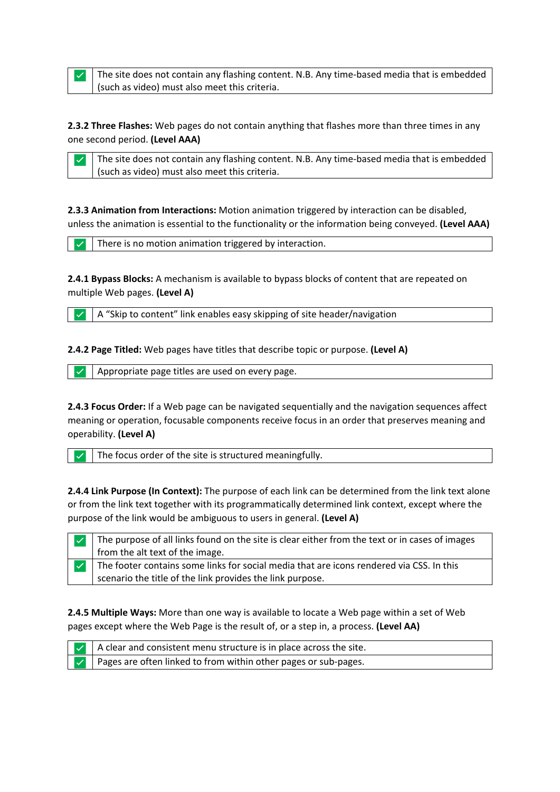$\vee$  The site does not contain any flashing content. N.B. Any time-based media that is embedded (such as video) must also meet this criteria.

**2.3.2 Three Flashes:** Web pages do not contain anything that flashes more than three times in any one second period. **(Level AAA)**

 $\triangledown$  The site does not contain any flashing content. N.B. Any time-based media that is embedded (such as video) must also meet this criteria.

**2.3.3 Animation from Interactions:** Motion animation triggered by interaction can be disabled, unless the animation is essential to the functionality or the information being conveyed. **(Level AAA)**

There is no motion animation triggered by interaction.

**2.4.1 Bypass Blocks:** A mechanism is available to bypass blocks of content that are repeated on multiple Web pages. **(Level A)**

✅ A "Skip to content" link enables easy skipping of site header/navigation

**2.4.2 Page Titled:** Web pages have titles that describe topic or purpose. **(Level A)**

 $\vert \vert \vee \vert$  Appropriate page titles are used on every page.

**2.4.3 Focus Order:** If a Web page can be navigated sequentially and the navigation sequences affect meaning or operation, focusable components receive focus in an order that preserves meaning and operability. **(Level A)**

 $\|\vee\|$  The focus order of the site is structured meaningfully.

**2.4.4 Link Purpose (In Context):** The purpose of each link can be determined from the link text alone or from the link text together with its programmatically determined link context, except where the purpose of the link would be ambiguous to users in general. **(Level A)**

| $\triangleright$ The purpose of all links found on the site is clear either from the text or in cases of images |
|-----------------------------------------------------------------------------------------------------------------|
| from the alt text of the image.                                                                                 |
| $\triangleright$ The footer contains some links for social media that are icons rendered via CSS. In this       |
| scenario the title of the link provides the link purpose.                                                       |

**2.4.5 Multiple Ways:** More than one way is available to locate a Web page within a set of Web pages except where the Web Page is the result of, or a step in, a process. **(Level AA)**



A clear and consistent menu structure is in place across the site.

Pages are often linked to from within other pages or sub-pages.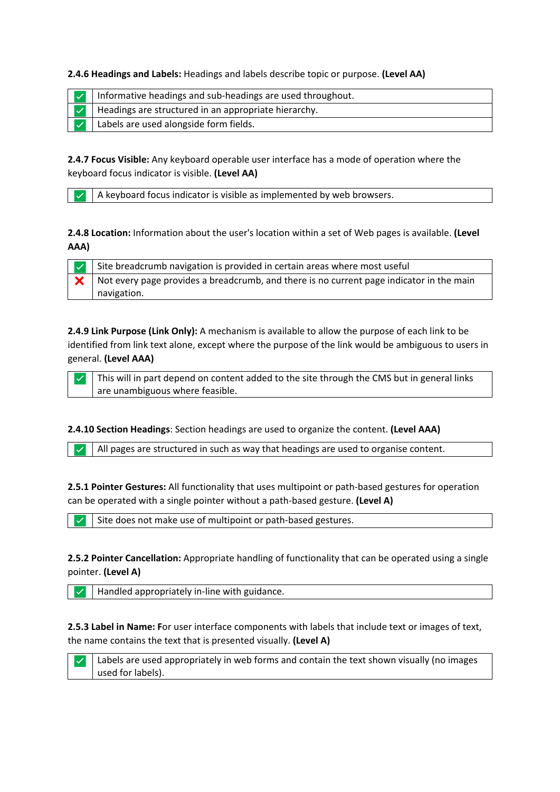**2.4.6 Headings and Labels:** Headings and labels describe topic or purpose. **(Level AA)**

|  | Informative headings and sub-headings are used throughout. |
|--|------------------------------------------------------------|
|  | Headings are structured in an appropriate hierarchy.       |
|  | Labels are used alongside form fields.                     |

**2.4.7 Focus Visible:** Any keyboard operable user interface has a mode of operation where the keyboard focus indicator is visible. **(Level AA)**

A keyboard focus indicator is visible as implemented by web browsers.

**2.4.8 Location:** Information about the user's location within a set of Web pages is available. **(Level AAA)**

 $\vee$  Site breadcrumb navigation is provided in certain areas where most useful  $\mathsf{\times}$  Not every page provides a breadcrumb, and there is no current page indicator in the main navigation.

**2.4.9 Link Purpose (Link Only):** A mechanism is available to allow the purpose of each link to be identified from link text alone, except where the purpose of the link would be ambiguous to users in general. **(Level AAA)**

This will in part depend on content added to the site through the CMS but in general links are unambiguous where feasible.

**2.4.10 Section Headings**: Section headings are used to organize the content. **(Level AAA)**

✅ All pages are structured in such as way that headings are used to organise content.

**2.5.1 Pointer Gestures:** All functionality that uses multipoint or path-based gestures for operation can be operated with a single pointer without a path-based gesture. **(Level A)**

Site does not make use of multipoint or path-based gestures.

**2.5.2 Pointer Cancellation:** Appropriate handling of functionality that can be operated using a single pointer. **(Level A)**

Handled appropriately in-line with guidance.

**2.5.3 Label in Name: F**or user interface components with labels that include text or images of text, the name contains the text that is presented visually. **(Level A)**



 $\vee$  Labels are used appropriately in web forms and contain the text shown visually (no images used for labels).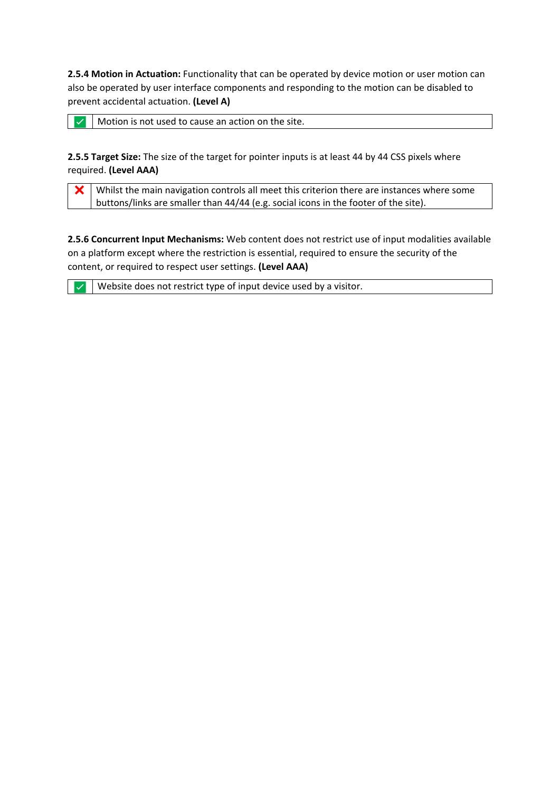**2.5.4 Motion in Actuation:** Functionality that can be operated by device motion or user motion can also be operated by user interface components and responding to the motion can be disabled to prevent accidental actuation. **(Level A)**

 $\triangledown$  Motion is not used to cause an action on the site.

**2.5.5 Target Size:** The size of the target for pointer inputs is at least 44 by 44 CSS pixels where required. **(Level AAA)**

 $\mathsf{\times}$  Whilst the main navigation controls all meet this criterion there are instances where some buttons/links are smaller than 44/44 (e.g. social icons in the footer of the site).

**2.5.6 Concurrent Input Mechanisms:** Web content does not restrict use of input modalities available on a platform except where the restriction is essential, required to ensure the security of the content, or required to respect user settings. **(Level AAA)**

 $\triangledown$  Website does not restrict type of input device used by a visitor.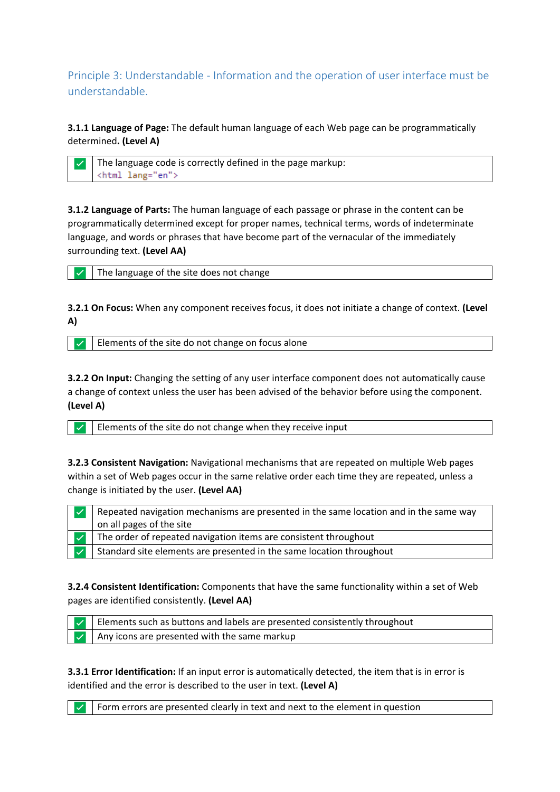Principle 3: Understandable - Information and the operation of user interface must be understandable.

**3.1.1 Language of Page:** The default human language of each Web page can be programmatically determined**. (Level A)**

The language code is correctly defined in the page markup: <html lang="en">

**3.1.2 Language of Parts:** The human language of each passage or phrase in the content can be programmatically determined except for proper names, technical terms, words of indeterminate language, and words or phrases that have become part of the vernacular of the immediately surrounding text. **(Level AA)**

The language of the site does not change

**3.2.1 On Focus:** When any component receives focus, it does not initiate a change of context. **(Level A)**

Elements of the site do not change on focus alone

**3.2.2 On Input:** Changing the setting of any user interface component does not automatically cause a change of context unless the user has been advised of the behavior before using the component. **(Level A)**

Elements of the site do not change when they receive input

**3.2.3 Consistent Navigation:** Navigational mechanisms that are repeated on multiple Web pages within a set of Web pages occur in the same relative order each time they are repeated, unless a change is initiated by the user. **(Level AA)**

Repeated navigation mechanisms are presented in the same location and in the same way on all pages of the site The order of repeated navigation items are consistent throughout Standard site elements are presented in the same location throughout

**3.2.4 Consistent Identification:** Components that have the same functionality within a set of Web pages are identified consistently. **(Level AA)**

| $\vee$   Elements such as buttons and labels are presented consistently throughout |
|------------------------------------------------------------------------------------|
| $\vee$ Any icons are presented with the same markup                                |

**3.3.1 Error Identification:** If an input error is automatically detected, the item that is in error is identified and the error is described to the user in text. **(Level A)**

Form errors are presented clearly in text and next to the element in question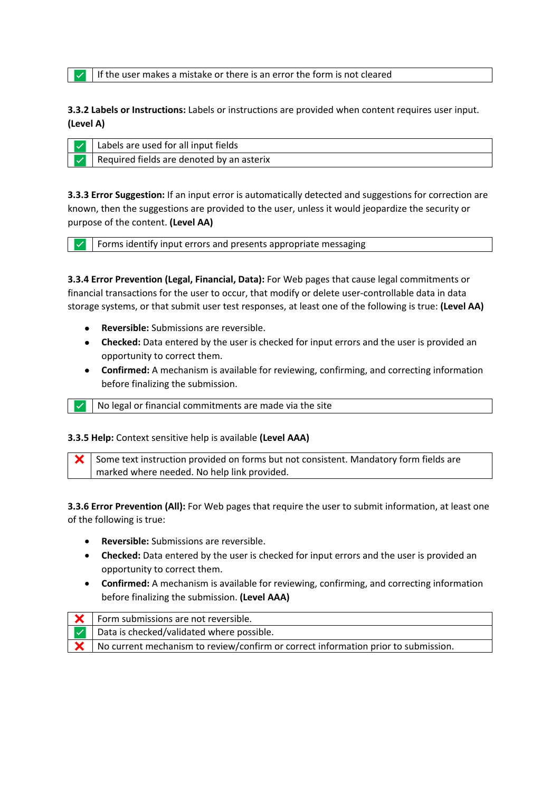If the user makes a mistake or there is an error the form is not cleared

**3.3.2 Labels or Instructions:** Labels or instructions are provided when content requires user input. **(Level A)**

| Labels are used for all input fields      |
|-------------------------------------------|
| Required fields are denoted by an asterix |

**3.3.3 Error Suggestion:** If an input error is automatically detected and suggestions for correction are known, then the suggestions are provided to the user, unless it would jeopardize the security or purpose of the content. **(Level AA)**

Forms identify input errors and presents appropriate messaging

**3.3.4 Error Prevention (Legal, Financial, Data):** For Web pages that cause legal commitments or financial transactions for the user to occur, that modify or delete user-controllable data in data storage systems, or that submit user test responses, at least one of the following is true: **(Level AA)**

- **Reversible:** Submissions are reversible.
- **Checked:** Data entered by the user is checked for input errors and the user is provided an opportunity to correct them.
- **Confirmed:** A mechanism is available for reviewing, confirming, and correcting information before finalizing the submission.

✅ No legal or financial commitments are made via the site

### **3.3.5 Help:** Context sensitive help is available **(Level AAA)**

 $\mathsf{\times}$  Some text instruction provided on forms but not consistent. Mandatory form fields are marked where needed. No help link provided.

**3.3.6 Error Prevention (All):** For Web pages that require the user to submit information, at least one of the following is true:

- **Reversible:** Submissions are reversible.
- **Checked:** Data entered by the user is checked for input errors and the user is provided an opportunity to correct them.
- **Confirmed:** A mechanism is available for reviewing, confirming, and correcting information before finalizing the submission. **(Level AAA)**

| Form submissions are not reversible.                                               |
|------------------------------------------------------------------------------------|
| Data is checked/validated where possible.                                          |
| No current mechanism to review/confirm or correct information prior to submission. |